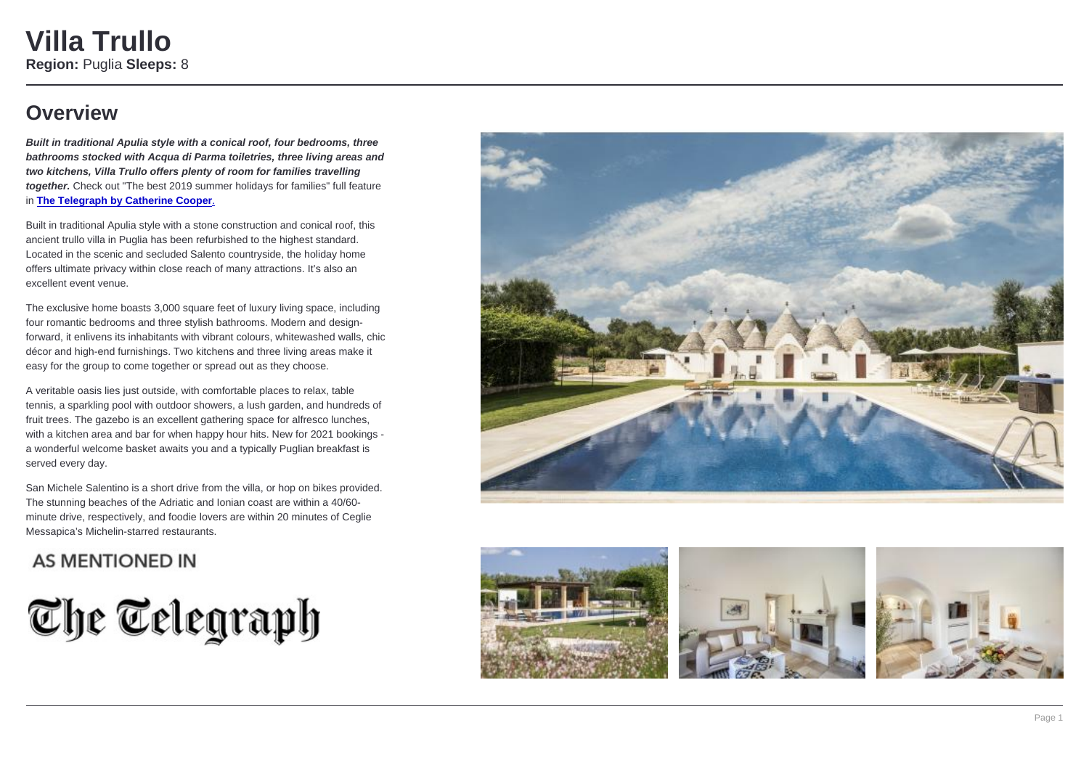# Villa Trullo

Region: Puglia Sleeps: 8

### **Overview**

Built in traditional Apulia style with a conical roof, four bedrooms, three bathrooms stocked with Acqua di Parma toiletries, three living areas and two kitchens, Villa Trullo offers plenty of room for families travelling together. Check out "The best 2019 summer holidays for families" full feature in The Telegraph by Catherine Cooper.

Built in traditional Apulia style with a stone construction and conical roof, this ancient trullo villa in Puglia has been refurbished to the highest standard. Located in the scenic and secluded Salento countryside, the holiday home offers ultimate privacy within close reach of many attractions. It's also an excellent event venue.

The exclusive home boasts 3,000 square feet of luxury living space, including four romantic bedrooms and three stylish bathrooms. Modern and designforward, it enlivens its inhabitants with vibrant colours, whitewashed walls, chic décor and high-end furnishings. Two kitchens and three living areas make it easy for the group to come together or spread out as they choose.

A veritable oasis lies just outside, with comfortable places to relax, table tennis, a sparkling pool with outdoor showers, a lush garden, and hundreds of fruit trees. The gazebo is an excellent gathering space for alfresco lunches, with a kitchen area and bar for when happy hour hits. New for 2021 bookings a wonderful welcome basket awaits you and a typically Puglian breakfast is served every day.

San Michele Salentino is a short drive from the villa, or hop on bikes provided. The stunning beaches of the Adriatic and Ionian coast are within a 40/60 minute drive, respectively, and foodie lovers are within 20 minutes of Ceglie Messapica's Michelin-starred restaurants.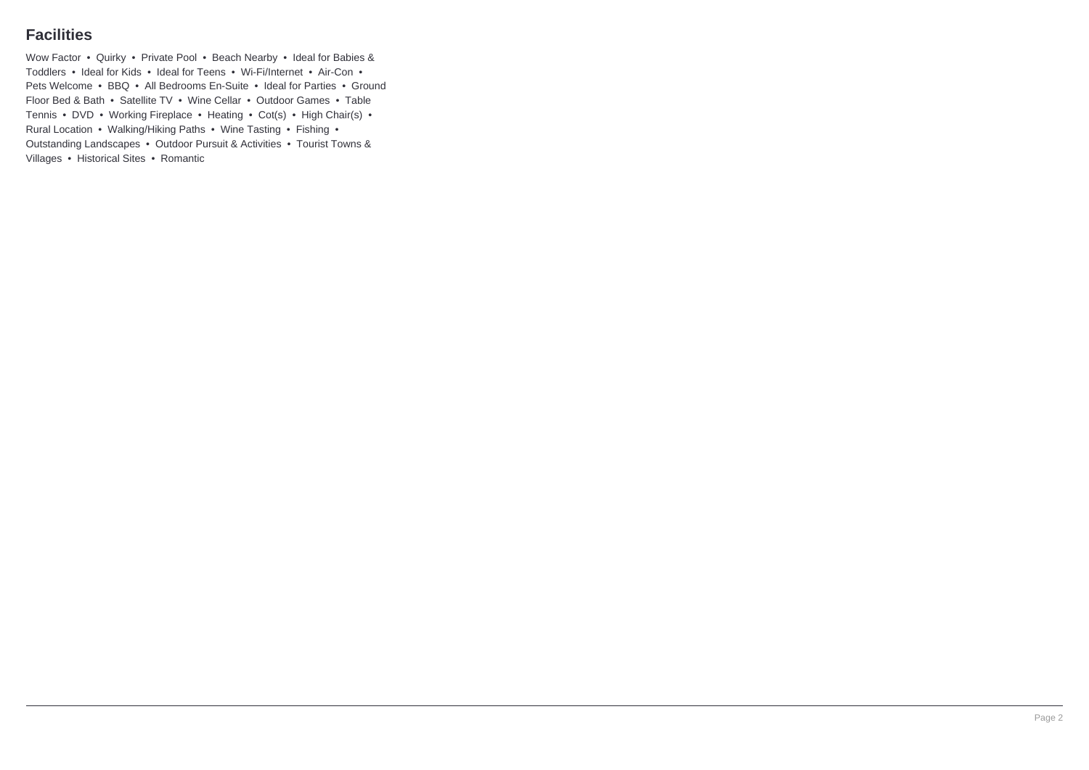### **Facilities**

Wow Factor • Quirky • Private Pool • Beach Nearby • Ideal for Babies & Toddlers • Ideal for Kids • Ideal for Teens • Wi-Fi/Internet • Air-Con • Pets Welcome • BBQ • All Bedrooms En-Suite • Ideal for Parties • Ground Floor Bed & Bath • Satellite TV • Wine Cellar • Outdoor Games • Table Tennis • DVD • Working Fireplace • Heating • Cot(s) • High Chair(s) • Rural Location • Walking/Hiking Paths • Wine Tasting • Fishing • Outstanding Landscapes • Outdoor Pursuit & Activities • Tourist Towns & Villages • Historical Sites • Romantic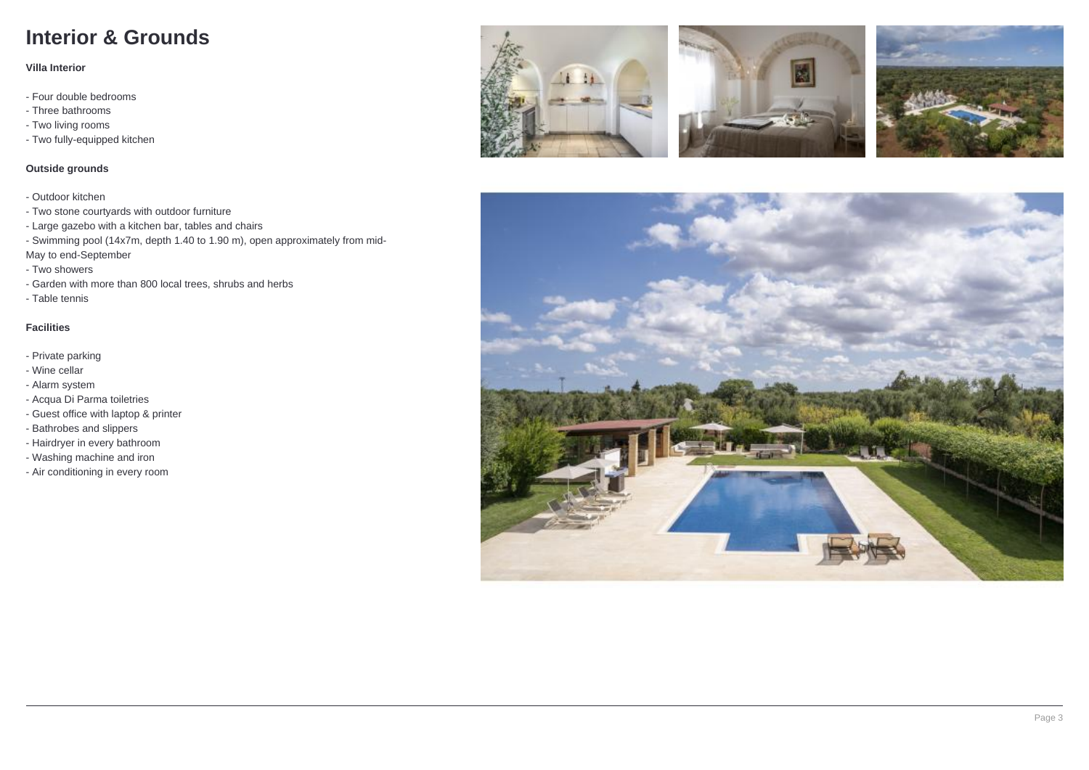## **Interior & Grounds**

#### **Villa Interior**

- Four double bedrooms
- Three bathrooms
- Two living rooms
- Two fully-equipped kitchen

#### **Outside grounds**

- Outdoor kitchen
- Two stone courtyards with outdoor furniture
- Large gazebo with a kitchen bar, tables and chairs
- Swimming pool (14x7m, depth 1.40 to 1.90 m), open approximately from mid-
- May to end-September
- Two showers
- Garden with more than 800 local trees, shrubs and herbs
- Table tennis

#### **Facilities**

- Private parking
- Wine cellar
- Alarm system
- Acqua Di Parma toiletries
- Guest office with laptop & printer
- Bathrobes and slippers
- Hairdryer in every bathroom
- Washing machine and iron
- Air conditioning in every room







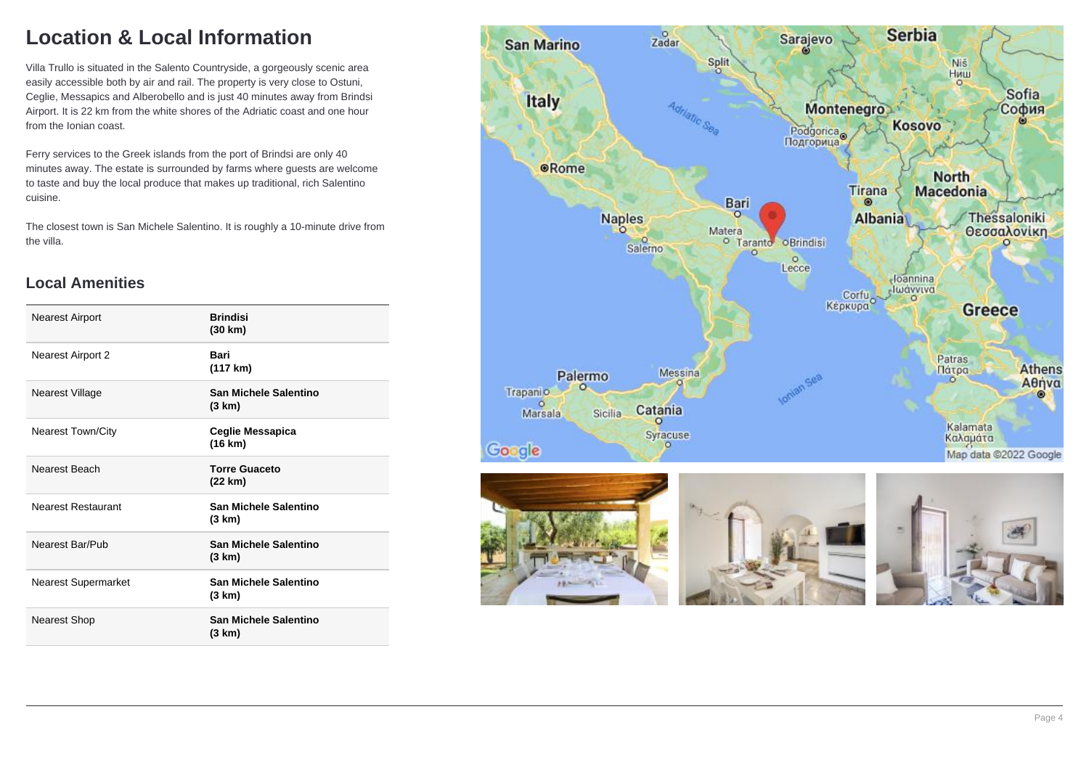## **Location & Local Information**

Villa Trullo is situated in the Salento Countryside, a gorgeously scenic area easily accessible both by air and rail. The property is very close to Ostuni, Ceglie, Messapics and Alberobello and is just 40 minutes away from Brindsi Airport. It is 22 km from the white shores of the Adriatic coast and one hour from the Ionian coast.

Ferry services to the Greek islands from the port of Brindsi are only 40 minutes away. The estate is surrounded by farms where guests are welcome to taste and buy the local produce that makes up traditional, rich Salentino cuisine.

The closest town is San Michele Salentino. It is roughly a 10-minute drive from the villa.

### **Local Amenities**

| <b>Nearest Airport</b>     | <b>Brindisi</b><br>(30 km)      |
|----------------------------|---------------------------------|
| Nearest Airport 2          | Bari<br>(117 km)                |
| Nearest Village            | San Michele Salentino<br>(3 km) |
| <b>Nearest Town/City</b>   | Ceglie Messapica<br>(16 km)     |
| Nearest Beach              | <b>Torre Guaceto</b><br>(22 km) |
| <b>Nearest Restaurant</b>  | San Michele Salentino<br>(3 km) |
| Nearest Bar/Pub            | San Michele Salentino<br>(3 km) |
| <b>Nearest Supermarket</b> | San Michele Salentino<br>(3 km) |
| Nearest Shop               | San Michele Salentino<br>(3 km) |
|                            |                                 |

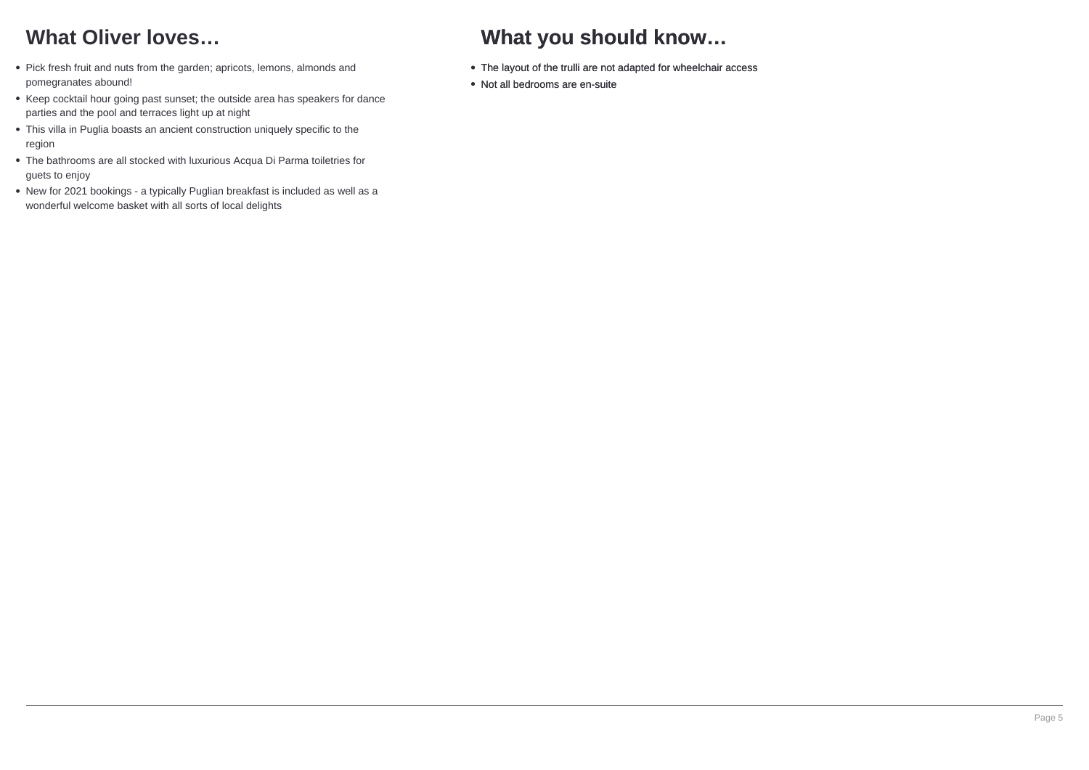## **What Oliver loves…**

- Pick fresh fruit and nuts from the garden; apricots, lemons, almonds and pomegranates abound!
- Keep cocktail hour going past sunset; the outside area has speakers for dance parties and the pool and terraces light up at night
- This villa in Puglia boasts an ancient construction uniquely specific to the region
- The bathrooms are all stocked with luxurious Acqua Di Parma toiletries for guets to enjoy
- New for 2021 bookings a typically Puglian breakfast is included as well as a wonderful welcome basket with all sorts of local delights

# **What you should know…**

- The layout of the trulli are not adapted for wheelchair access
- Not all bedrooms are en-suite